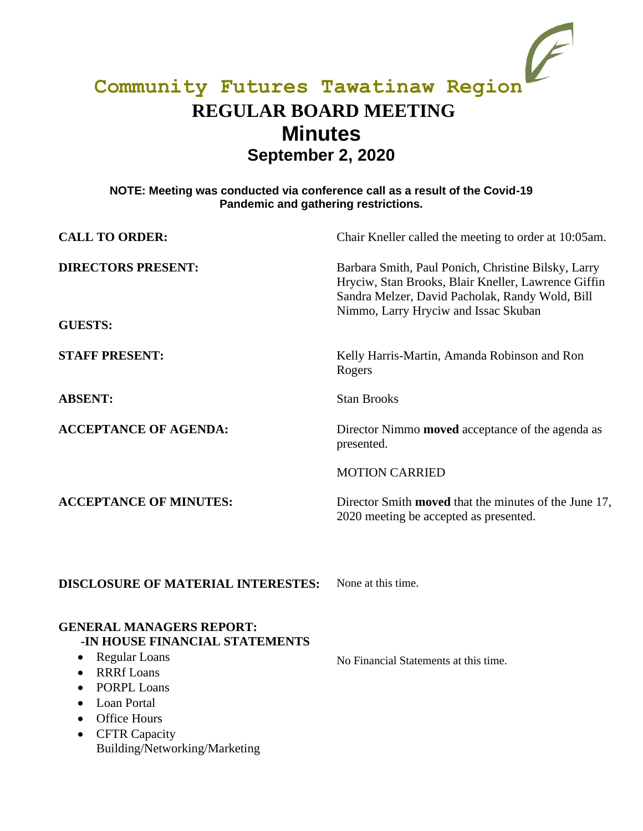# **Community Futures Tawatinaw Region REGULAR BOARD MEETING Minutes September 2, 2020**

### **NOTE: Meeting was conducted via conference call as a result of the Covid-19 Pandemic and gathering restrictions.**

| <b>CALL TO ORDER:</b>                                                                                                                                                                                                                                                                                                    | Chair Kneller called the meeting to order at 10:05am.                                                                                                                                                 |
|--------------------------------------------------------------------------------------------------------------------------------------------------------------------------------------------------------------------------------------------------------------------------------------------------------------------------|-------------------------------------------------------------------------------------------------------------------------------------------------------------------------------------------------------|
| <b>DIRECTORS PRESENT:</b>                                                                                                                                                                                                                                                                                                | Barbara Smith, Paul Ponich, Christine Bilsky, Larry<br>Hryciw, Stan Brooks, Blair Kneller, Lawrence Giffin<br>Sandra Melzer, David Pacholak, Randy Wold, Bill<br>Nimmo, Larry Hryciw and Issac Skuban |
| <b>GUESTS:</b>                                                                                                                                                                                                                                                                                                           |                                                                                                                                                                                                       |
| <b>STAFF PRESENT:</b>                                                                                                                                                                                                                                                                                                    | Kelly Harris-Martin, Amanda Robinson and Ron<br>Rogers                                                                                                                                                |
| <b>ABSENT:</b>                                                                                                                                                                                                                                                                                                           | <b>Stan Brooks</b>                                                                                                                                                                                    |
| <b>ACCEPTANCE OF AGENDA:</b>                                                                                                                                                                                                                                                                                             | Director Nimmo <b>moved</b> acceptance of the agenda as<br>presented.                                                                                                                                 |
|                                                                                                                                                                                                                                                                                                                          | <b>MOTION CARRIED</b>                                                                                                                                                                                 |
| <b>ACCEPTANCE OF MINUTES:</b>                                                                                                                                                                                                                                                                                            | Director Smith moved that the minutes of the June 17,<br>2020 meeting be accepted as presented.                                                                                                       |
| <b>DISCLOSURE OF MATERIAL INTERESTES:</b>                                                                                                                                                                                                                                                                                | None at this time.                                                                                                                                                                                    |
| <b>GENERAL MANAGERS REPORT:</b><br>-IN HOUSE FINANCIAL STATEMENTS<br><b>Regular Loans</b><br>$\bullet$<br><b>RRRf</b> Loans<br>$\bullet$<br><b>PORPL Loans</b><br>$\bullet$<br><b>Loan Portal</b><br>$\bullet$<br><b>Office Hours</b><br>$\bullet$<br><b>CFTR Capacity</b><br>$\bullet$<br>Building/Networking/Marketing | No Financial Statements at this time.                                                                                                                                                                 |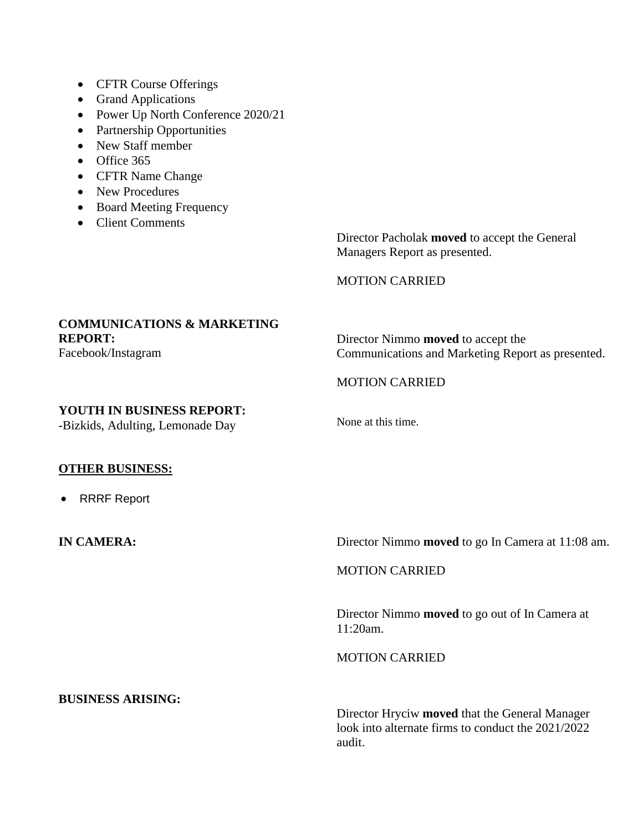- CFTR Course Offerings
- Grand Applications
- Power Up North Conference 2020/21
- Partnership Opportunities
- New Staff member
- Office 365
- CFTR Name Change
- New Procedures
- Board Meeting Frequency
- Client Comments

Director Pacholak **moved** to accept the General Managers Report as presented.

MOTION CARRIED

## **COMMUNICATIONS & MARKETING REPORT:**

Facebook/Instagram

Director Nimmo **moved** to accept the Communications and Marketing Report as presented.

## MOTION CARRIED

#### **YOUTH IN BUSINESS REPORT:**

-Bizkids, Adulting, Lemonade Day

None at this time.

#### **OTHER BUSINESS:**

• RRRF Report

**IN CAMERA:** Director Nimmo **moved** to go In Camera at 11:08 am.

#### MOTION CARRIED

Director Nimmo **moved** to go out of In Camera at 11:20am.

MOTION CARRIED

Director Hryciw **moved** that the General Manager look into alternate firms to conduct the 2021/2022 audit.

## **BUSINESS ARISING:**